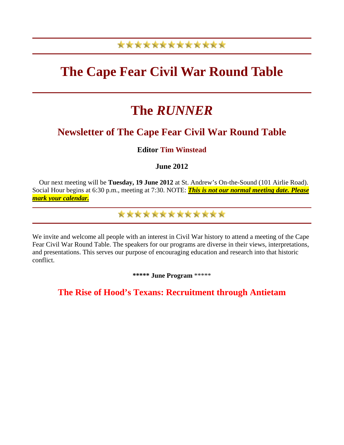## \*\*\*\*\*\*\*\*\*\*\*\*\*

## **The Cape Fear Civil War Round Table**

# **The** *RUNNER*

### **Newsletter of The Cape Fear Civil War Round Table**

**Editor Tim Winstead**

**June 2012** 

Our next meeting will be **Tuesday, 19 June 2012** at St. Andrew's On-the-Sound (101 Airlie Road). Social Hour begins at 6:30 p.m., meeting at 7:30. NOTE: *This is not our normal meeting date. Please mark your calendar.*

\*\*\*\*\*\*\*\*\*\*\*\*\*

We invite and welcome all people with an interest in Civil War history to attend a meeting of the Cape Fear Civil War Round Table. The speakers for our programs are diverse in their views, interpretations, and presentations. This serves our purpose of encouraging education and research into that historic conflict.

**\*\*\*\*\* June Program** \*\*\*\*\*

**The Rise of Hood's Texans: Recruitment through Antietam**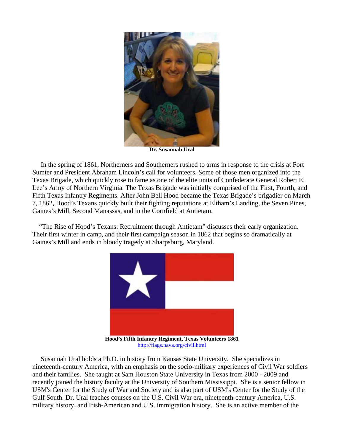

**Dr. Susannah Ural**

In the spring of 1861, Northerners and Southerners rushed to arms in response to the crisis at Fort Sumter and President Abraham Lincoln's call for volunteers. Some of those men organized into the Texas Brigade, which quickly rose to fame as one of the elite units of Confederate General Robert E. Lee's Army of Northern Virginia. The Texas Brigade was initially comprised of the First, Fourth, and Fifth Texas Infantry Regiments. After John Bell Hood became the Texas Brigade's brigadier on March 7, 1862, Hood's Texans quickly built their fighting reputations at Eltham's Landing, the Seven Pines, Gaines's Mill, Second Manassas, and in the Cornfield at Antietam.

 "The Rise of Hood's Texans: Recruitment through Antietam" discusses their early organization. Their first winter in camp, and their first campaign season in 1862 that begins so dramatically at Gaines's Mill and ends in bloody tragedy at Sharpsburg, Maryland.



**Hood's Fifth Infantry Regiment, Texas Volunteers 1861** <http://flags.nava.org/civil.html>

 Susannah Ural holds a Ph.D. in history from Kansas State University. She specializes in nineteenth-century America, with an emphasis on the socio-military experiences of Civil War soldiers and their families. She taught at Sam Houston State University in Texas from 2000 - 2009 and recently joined the history faculty at the University of Southern Mississippi. She is a senior fellow in USM's Center for the Study of War and Society and is also part of USM's Center for the Study of the Gulf South. Dr. Ural teaches courses on the U.S. Civil War era, nineteenth-century America, U.S. military history, and Irish-American and U.S. immigration history. She is an active member of the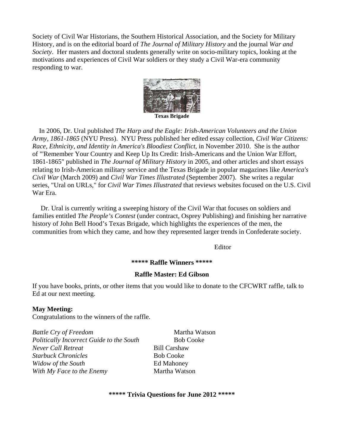Society of Civil War Historians, the Southern Historical Association, and the Society for Military History, and is on the editorial board of *The Journal of Military History* and the journal *War and Society*. Her masters and doctoral students generally write on socio-military topics, looking at the motivations and experiences of Civil War soldiers or they study a Civil War-era community responding to war.



 In 2006, Dr. Ural published *The Harp and the Eagle: Irish-American Volunteers and the Union Army, 1861-1865* (NYU Press). NYU Press published her edited essay collection, *Civil War Citizens: Race, Ethnicity, and Identity in America's Bloodiest Conflict*, in November 2010. She is the author of "'Remember Your Country and Keep Up Its Credit: Irish-Americans and the Union War Effort, 1861-1865" published in *The Journal of Military History* in 2005, and other articles and short essays relating to Irish-American military service and the Texas Brigade in popular magazines like *America's Civil War* (March 2009) and *Civil War Times Illustrated* (September 2007). She writes a regular series, "Ural on URLs," for *Civil War Times Illustrated* that reviews websites focused on the U.S. Civil War Era.

 Dr. Ural is currently writing a sweeping history of the Civil War that focuses on soldiers and families entitled *The People's Contest* (under contract, Osprey Publishing) and finishing her narrative history of John Bell Hood's Texas Brigade, which highlights the experiences of the men, the communities from which they came, and how they represented larger trends in Confederate society.

Editor

#### **\*\*\*\*\* Raffle Winners \*\*\*\*\***

#### **Raffle Master: Ed Gibson**

If you have books, prints, or other items that you would like to donate to the CFCWRT raffle, talk to Ed at our next meeting.

#### **May Meeting:**

Congratulations to the winners of the raffle.

*Battle Cry of Freedom* Martha Watson *Politically Incorrect Guide to the South* **Bob Cooke** *Never Call Retreat* Bill Carshaw **Starbuck Chronicles Bob Cooke** *Widow of the South* **Ed Mahoney** *With My Face to the Enemy* Martha Watson

#### **\*\*\*\*\* Trivia Questions for June 2012 \*\*\*\*\***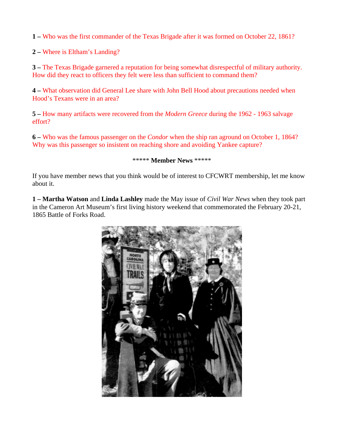**1 –** Who was the first commander of the Texas Brigade after it was formed on October 22, 1861?

**2 –** Where is Eltham's Landing?

**3 –** The Texas Brigade garnered a reputation for being somewhat disrespectful of military authority. How did they react to officers they felt were less than sufficient to command them?

**4 –** What observation did General Lee share with John Bell Hood about precautions needed when Hood's Texans were in an area?

**5 –** How many artifacts were recovered from the *Modern Greece* during the 1962 - 1963 salvage effort?

**6 –** Who was the famous passenger on the *Condor* when the ship ran aground on October 1, 1864? Why was this passenger so insistent on reaching shore and avoiding Yankee capture?

#### \*\*\*\*\* **Member News** \*\*\*\*\*

If you have member news that you think would be of interest to CFCWRT membership, let me know about it.

**1 – Martha Watson** and **Linda Lashley** made the May issue of *Civil War News* when they took part in the Cameron Art Museum's first living history weekend that commemorated the February 20-21, 1865 Battle of Forks Road.

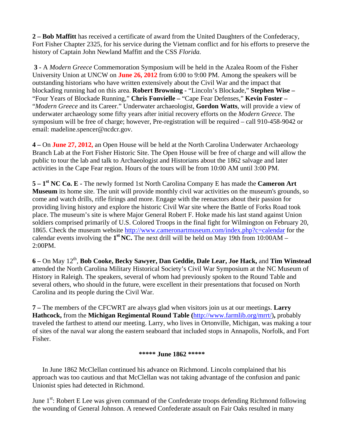**2 – Bob Maffitt** has received a certificate of award from the United Daughters of the Confederacy, Fort Fisher Chapter 2325, for his service during the Vietnam conflict and for his efforts to preserve the history of Captain John Newland Maffitt and the CSS *Florida.*

**3 -** A *Modern Greece* Commemoration Symposium will be held in the Azalea Room of the Fisher University Union at UNCW on **June 26, 2012** from 6:00 to 9:00 PM. Among the speakers will be outstanding historians who have written extensively about the Civil War and the impact that blockading running had on this area. **Robert Browning -** "Lincoln's Blockade," **Stephen Wise –**  "Four Years of Blockade Running," **Chris Fonvielle –** "Cape Fear Defenses," **Kevin Foster –**  "*Modern Greece* and its Career." Underwater archaeologist, **Gordon Watts**, will provide a view of underwater archaeology some fifty years after initial recovery efforts on the *Modern Greece.* The symposium will be free of charge; however, Pre-registration will be required – call 910-458-9042 or email: madeline.spencer@ncdcr.gov.

**4 –** On **June 27, 2012,** an Open House will be held at the North Carolina Underwater Archaeology Branch Lab at the Fort Fisher Historic Site. The Open House will be free of charge and will allow the public to tour the lab and talk to Archaeologist and Historians about the 1862 salvage and later activities in the Cape Fear region. Hours of the tours will be from 10:00 AM until 3:00 PM.

**5 – 1st NC Co. E -** The newly formed 1st North Carolina Company E has made the **Cameron Art Museum** its home site. The unit will provide monthly civil war activities on the museum's grounds, so come and watch drills, rifle firings and more. Engage with the reenactors about their passion for providing living history and explore the historic Civil War site where the Battle of Forks Road took place. The museum's site is where Major General Robert F. Hoke made his last stand against Union soldiers comprised primarily of U.S. Colored Troops in the final fight for Wilmington on February 20, 1865. Check the museum website<http://www.cameronartmuseum.com/index.php?c=calendar> for the calendar events involving the  $1^{st}$  NC. The next drill will be held on May 19th from 10:00AM – 2:00PM.

**6 –** On May 12th, **Bob Cooke, Becky Sawyer, Dan Geddie, Dale Lear, Joe Hack,** and **Tim Winstead** attended the North Carolina Military Historical Society's Civil War Symposium at the NC Museum of History in Raleigh. The speakers, several of whom had previously spoken to the Round Table and several others, who should in the future, were excellent in their presentations that focused on North Carolina and its people during the Civil War.

**7 –** The members of the CFCWRT are always glad when visitors join us at our meetings. **Larry Hathcock,** from the **Michigan Regimental Round Table (**[http://www.farmlib.org/mrrt/\)](http://www.farmlib.org/mrrt/)**,** probably traveled the farthest to attend our meeting. Larry, who lives in Ortonville, Michigan, was making a tour of sites of the naval war along the eastern seaboard that included stops in Annapolis, Norfolk, and Fort Fisher.

#### **\*\*\*\*\* June 1862 \*\*\*\*\***

 In June 1862 McClellan continued his advance on Richmond. Lincoln complained that his approach was too cautious and that McClellan was not taking advantage of the confusion and panic Unionist spies had detected in Richmond.

June 1<sup>st</sup>: Robert E Lee was given command of the Confederate troops defending Richmond following the wounding of General Johnson. A renewed Confederate assault on Fair Oaks resulted in many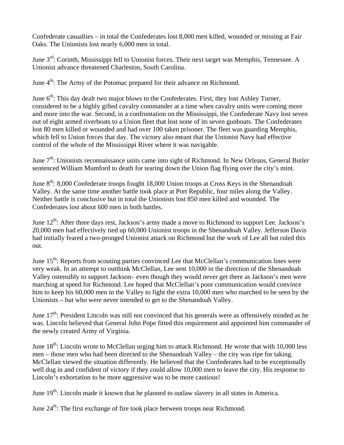Confederate casualties – in total the Confederates lost 8,000 men killed, wounded or missing at Fair Oaks. The Unionists lost nearly 6,000 men in total.

June 3<sup>rd</sup>: Corinth, Mississippi fell to Unionist forces. Their next target was Memphis, Tennessee. A Unionist advance threatened Charleston, South Carolina.

June 4<sup>th</sup>: The Army of the Potomac prepared for their advance on Richmond.

June  $6<sup>th</sup>$ : This day dealt two major blows to the Confederates. First, they lost Ashley Turner, considered to be a highly gifted cavalry commander at a time when cavalry units were coming more and more into the war. Second, in a confrontation on the Mississippi, the Confederate Navy lost seven out of eight armed riverboats to a Union fleet that lost none of its seven gunboats. The Confederates lost 80 men killed or wounded and had over 100 taken prisoner. The fleet was guarding Memphis, which fell to Union forces that day. The victory also meant that the Unionist Navy had effective control of the whole of the Mississippi River where it was navigable.

June 7<sup>th</sup>: Unionists reconnaissance units came into sight of Richmond. In New Orleans, General Butler sentenced William Mumford to death for tearing down the Union flag flying over the city's mint.

June 8<sup>th</sup>: 8,000 Confederate troops fought 18,000 Union troops at Cross Keys in the Shenandoah Valley. At the same time another battle took place at Port Republic, four miles along the Valley. Neither battle is conclusive but in total the Unionists lost 850 men killed and wounded. The Confederates lost about 600 men in both battles.

June  $12^{th}$ : After three days rest, Jackson's army made a move to Richmond to support Lee. Jackson's 20,000 men had effectively tied up 60,000 Unionist troops in the Shenandoah Valley. Jefferson Davis had initially feared a two-pronged Unionist attack on Richmond but the work of Lee all but ruled this out.

June  $15<sup>th</sup>$ : Reports from scouting parties convinced Lee that McClellan's communication lines were very weak. In an attempt to outthink McClellan, Lee sent 10,000 in the direction of the Shenandoah Valley ostensibly to support Jackson– even though they would never get there as Jackson's men were marching at speed for Richmond. Lee hoped that McClellan's poor communication would convince him to keep his 60,000 men in the Valley to fight the extra 10,000 men who marched to be seen by the Unionists – but who were never intended to get to the Shenandoah Valley.

June  $17<sup>th</sup>$ : President Lincoln was still not convinced that his generals were as offensively minded as he was. Lincoln believed that General John Pope fitted this requirement and appointed him commander of the newly created Army of Virginia.

June  $18<sup>th</sup>$ : Lincoln wrote to McClellan urging him to attack Richmond. He wrote that with 10,000 less men – those men who had been directed to the Shenandoah Valley – the city was ripe for taking. McClellan viewed the situation differently. He believed that the Confederates had to be exceptionally well dug in and confident of victory if they could allow 10,000 men to leave the city. His response to Lincoln's exhortation to be more aggressive was to be more cautious!

June  $19<sup>th</sup>$ : Lincoln made it known that he planned to outlaw slavery in all states in America.

June  $24<sup>th</sup>$ : The first exchange of fire took place between troops near Richmond.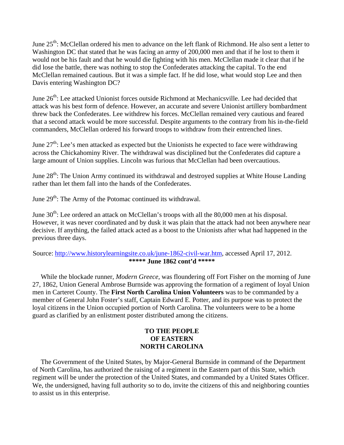June 25<sup>th</sup>: McClellan ordered his men to advance on the left flank of Richmond. He also sent a letter to Washington DC that stated that he was facing an army of 200,000 men and that if he lost to them it would not be his fault and that he would die fighting with his men. McClellan made it clear that if he did lose the battle, there was nothing to stop the Confederates attacking the capital. To the end McClellan remained cautious. But it was a simple fact. If he did lose, what would stop Lee and then Davis entering Washington DC?

June 26<sup>th</sup>: Lee attacked Unionist forces outside Richmond at Mechanicsville. Lee had decided that attack was his best form of defence. However, an accurate and severe Unionist artillery bombardment threw back the Confederates. Lee withdrew his forces. McClellan remained very cautious and feared that a second attack would be more successful. Despite arguments to the contrary from his in-the-field commanders, McClellan ordered his forward troops to withdraw from their entrenched lines.

June  $27<sup>th</sup>$ : Lee's men attacked as expected but the Unionists he expected to face were withdrawing across the Chickahominy River. The withdrawal was disciplined but the Confederates did capture a large amount of Union supplies. Lincoln was furious that McClellan had been overcautious.

June 28<sup>th</sup>: The Union Army continued its withdrawal and destroyed supplies at White House Landing rather than let them fall into the hands of the Confederates.

June  $29^{th}$ : The Army of the Potomac continued its withdrawal.

June  $30<sup>th</sup>$ : Lee ordered an attack on McClellan's troops with all the 80,000 men at his disposal. However, it was never coordinated and by dusk it was plain that the attack had not been anywhere near decisive. If anything, the failed attack acted as a boost to the Unionists after what had happened in the previous three days.

#### Source: <http://www.historylearningsite.co.uk/june-1862-civil-war.htm>, accessed April 17, 2012. **\*\*\*\*\* June 1862 cont'd \*\*\*\*\***

 While the blockade runner*, Modern Greece,* was floundering off Fort Fisher on the morning of June 27, 1862, Union General Ambrose Burnside was approving the formation of a regiment of loyal Union men in Carteret County. The **First North Carolina Union Volunteers** was to be commanded by a member of General John Foster's staff, Captain Edward E. Potter, and its purpose was to protect the loyal citizens in the Union occupied portion of North Carolina. The volunteers were to be a home guard as clarified by an enlistment poster distributed among the citizens.

#### **TO THE PEOPLE OF EASTERN NORTH CAROLINA**

The Government of the United States, by Major-General Burnside in command of the Department of North Carolina, has authorized the raising of a regiment in the Eastern part of this State, which regiment will be under the protection of the United States, and commanded by a United States Officer. We, the undersigned, having full authority so to do, invite the citizens of this and neighboring counties to assist us in this enterprise.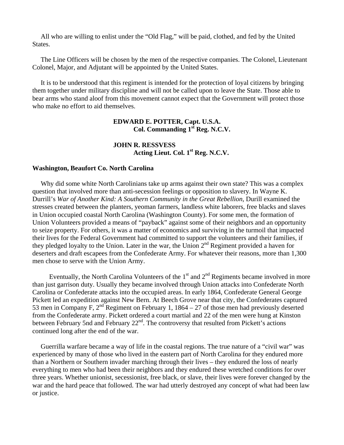All who are willing to enlist under the "Old Flag," will be paid, clothed, and fed by the United States.

 The Line Officers will be chosen by the men of the respective companies. The Colonel, Lieutenant Colonel, Major, and Adjutant will be appointed by the United States.

 It is to be understood that this regiment is intended for the protection of loyal citizens by bringing them together under military discipline and will not be called upon to leave the State. Those able to bear arms who stand aloof from this movement cannot expect that the Government will protect those who make no effort to aid themselves.

#### **EDWARD E. POTTER, Capt. U.S.A. Col. Commanding 1st Reg. N.C.V.**

 **JOHN R. RESSVESS Acting Lieut. Col. 1st Reg. N.C.V.**

#### **Washington, Beaufort Co. North Carolina**

Why did some white North Carolinians take up arms against their own state? This was a complex question that involved more than anti-secession feelings or opposition to slavery. In Wayne K. Durrill's *War of Another Kind: A Southern Community in the Great Rebellion*, Durill examined the stresses created between the planters, yeoman farmers, landless white laborers, free blacks and slaves in Union occupied coastal North Carolina (Washington County). For some men, the formation of Union Volunteers provided a means of "payback" against some of their neighbors and an opportunity to seize property. For others, it was a matter of economics and surviving in the turmoil that impacted their lives for the Federal Government had committed to support the volunteers and their families, if they pledged loyalty to the Union. Later in the war, the Union  $2<sup>nd</sup>$  Regiment provided a haven for deserters and draft escapees from the Confederate Army. For whatever their reasons, more than 1,300 men chose to serve with the Union Army.

Eventually, the North Carolina Volunteers of the  $1<sup>st</sup>$  and  $2<sup>nd</sup>$  Regiments became involved in more than just garrison duty. Usually they became involved through Union attacks into Confederate North Carolina or Confederate attacks into the occupied areas. In early 1864, Confederate General George Pickett led an expedition against New Bern. At Beech Grove near that city, the Confederates captured 53 men in Company F,  $2^{nd}$  Regiment on February 1, 1864 – 27 of those men had previously deserted from the Confederate army. Pickett ordered a court martial and 22 of the men were hung at Kinston between February 5nd and February 22<sup>nd</sup>. The controversy that resulted from Pickett's actions continued long after the end of the war.

 Guerrilla warfare became a way of life in the coastal regions. The true nature of a "civil war" was experienced by many of those who lived in the eastern part of North Carolina for they endured more than a Northern or Southern invader marching through their lives – they endured the loss of nearly everything to men who had been their neighbors and they endured these wretched conditions for over three years. Whether unionist, secessionist, free black, or slave, their lives were forever changed by the war and the hard peace that followed. The war had utterly destroyed any concept of what had been law or justice.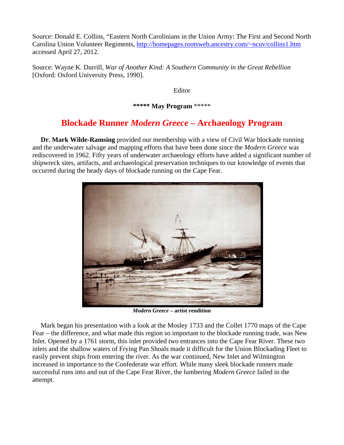Source: Donald E. Collins, "Eastern North Carolinians in the Union Army: The First and Second North Carolina Union Volunteer Regiments, [http://homepages.rootsweb.ancestry.com/~ncuv/collins1.htm](http://homepages.rootsweb.ancestry.com/%7Encuv/collins1.htm)  accessed April 27, 2012.

Source: Wayne K. Durrill, *War of Another Kind: A Southern Community in the Great Rebellion* [Oxford: Oxford University Press, 1990].

Editor

**\*\*\*\*\* May Program** \*\*\*\*\*

### **Blockade Runner** *Modern Greece –* **Archaeology Program**

 **Dr. Mark Wilde-Ramsing** provided our membership with a view of Civil War blockade running and the underwater salvage and mapping efforts that have been done since the *Modern Greece* was rediscovered in 1962. Fifty years of underwater archaeology efforts have added a significant number of shipwreck sites, artifacts, and archaeological preservation techniques to our knowledge of events that occurred during the heady days of blockade running on the Cape Fear.



*Modern Greece –* **artist rendition**

 Mark began his presentation with a look at the Mosley 1733 and the Collet 1770 maps of the Cape Fear – the difference, and what made this region so important to the blockade running trade, was New Inlet. Opened by a 1761 storm, this inlet provided two entrances into the Cape Fear River. These two inlets and the shallow waters of Frying Pan Shoals made it difficult for the Union Blockading Fleet to easily prevent ships from entering the river. As the war continued, New Inlet and Wilmington increased in importance to the Confederate war effort. While many sleek blockade runners made successful runs into and out of the Cape Fear River, the lumbering *Modern Greece* failed in the attempt.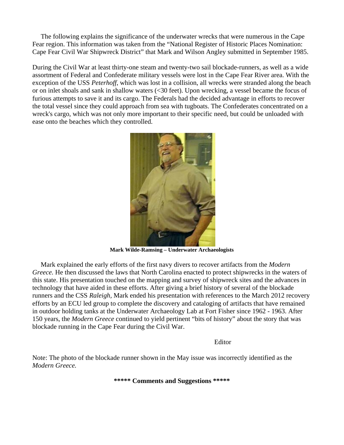The following explains the significance of the underwater wrecks that were numerous in the Cape Fear region. This information was taken from the "National Register of Historic Places Nomination: Cape Fear Civil War Shipwreck District" that Mark and Wilson Angley submitted in September 1985.

During the Civil War at least thirty-one steam and twenty-two sail blockade-runners, as well as a wide assortment of Federal and Confederate military vessels were lost in the Cape Fear River area. With the exception of the USS *Peterhoff*, which was lost in a collision, all wrecks were stranded along the beach or on inlet shoals and sank in shallow waters (<30 feet). Upon wrecking, a vessel became the focus of furious attempts to save it and its cargo. The Federals had the decided advantage in efforts to recover the total vessel since they could approach from sea with tugboats. The Confederates concentrated on a wreck's cargo, which was not only more important to their specific need, but could be unloaded with ease onto the beaches which they controlled.



**Mark Wilde-Ramsing – Underwater Archaeologists**

 Mark explained the early efforts of the first navy divers to recover artifacts from the *Modern Greece.* He then discussed the laws that North Carolina enacted to protect shipwrecks in the waters of this state. His presentation touched on the mapping and survey of shipwreck sites and the advances in technology that have aided in these efforts. After giving a brief history of several of the blockade runners and the CSS *Raleigh,* Mark ended his presentation with references to the March 2012 recovery efforts by an ECU led group to complete the discovery and cataloging of artifacts that have remained in outdoor holding tanks at the Underwater Archaeology Lab at Fort Fisher since 1962 - 1963. After 150 years, the *Modern Greece* continued to yield pertinent "bits of history" about the story that was blockade running in the Cape Fear during the Civil War.

Editor

Note: The photo of the blockade runner shown in the May issue was incorrectly identified as the *Modern Greece.*

**\*\*\*\*\* Comments and Suggestions \*\*\*\*\***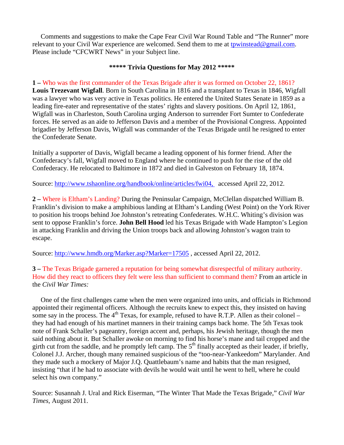Comments and suggestions to make the Cape Fear Civil War Round Table and "The Runner" more relevant to your Civil War experience are welcomed. Send them to me at [tpwinstead@gmail.com.](mailto:tpwinstead@gmail.com) Please include "CFCWRT News" in your Subject line.

#### **\*\*\*\*\* Trivia Questions for May 2012 \*\*\*\*\***

**1 –** Who was the first commander of the Texas Brigade after it was formed on October 22, 1861? **Louis Trezevant Wigfall**. Born in South Carolina in 1816 and a transplant to Texas in 1846, Wigfall was a lawyer who was very active in Texas politics. He entered the United States Senate in 1859 as a leading fire-eater and representative of the states' rights and slavery positions. On April 12, 1861, Wigfall was in Charleston, South Carolina urging Anderson to surrender Fort Sumter to Confederate forces. He served as an aide to Jefferson Davis and a member of the Provisional Congress. Appointed brigadier by Jefferson Davis, Wigfall was commander of the Texas Brigade until he resigned to enter the Confederate Senate.

Initially a supporter of Davis, Wigfall became a leading opponent of his former friend. After the Confederacy's fall, Wigfall moved to England where he continued to push for the rise of the old Confederacy. He relocated to Baltimore in 1872 and died in Galveston on February 18, 1874.

Source:<http://www.tshaonline.org/handbook/online/articles/fwi04,>accessed April 22, 2012.

**2 –** Where is Eltham's Landing? During the Peninsular Campaign, McClellan dispatched William B. Franklin's division to make a amphibious landing at Eltham's Landing (West Point) on the York River to position his troops behind Joe Johnston's retreating Confederates. W.H.C. Whiting's division was sent to oppose Franklin's force. **John Bell Hood** led his Texas Brigade with Wade Hampton's Legion in attacking Franklin and driving the Union troops back and allowing Johnston's wagon train to escape.

Source:<http://www.hmdb.org/Marker.asp?Marker=17505> , accessed April 22, 2012.

**3 –** The Texas Brigade garnered a reputation for being somewhat disrespectful of military authority. How did they react to officers they felt were less than sufficient to command them? From an article in the *Civil War Times:*

 One of the first challenges came when the men were organized into units, and officials in Richmond appointed their regimental officers. Although the recruits knew to expect this, they insisted on having some say in the process. The  $4<sup>th</sup>$  Texas, for example, refused to have R.T.P. Allen as their colonel – they had had enough of his martinet manners in their training camps back home. The 5th Texas took note of Frank Schaller's pageantry, foreign accent and, perhaps, his Jewish heritage, though the men said nothing about it. But Schaller awoke on morning to find his horse's mane and tail cropped and the girth cut from the saddle, and he promptly left camp. The  $5<sup>th</sup>$  finally accepted as their leader, if briefly, Colonel J.J. Archer, though many remained suspicious of the "too-near-Yankeedom" Marylander. And they made such a mockery of Major J.Q. Quattlebaum's name and habits that the man resigned, insisting "that if he had to associate with devils he would wait until he went to hell, where he could select his own company."

Source: Susannah J. Ural and Rick Eiserman, "The Winter That Made the Texas Brigade," *Civil War Times,* August 2011.